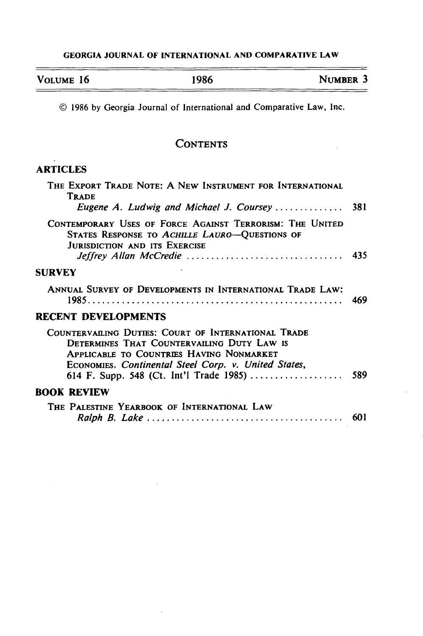## **GEORGIA JOURNAL** OF **INTERNATIONAL AND** COMPARATIVE LAW

| VOLUME 16 | 1986 | NUMBER <sub>3</sub> |
|-----------|------|---------------------|
|           |      |                     |

© 1986 by Georgia Journal of International and Comparative Law, Inc.

## **CONTENTS**

## **ARTICLES**

| THE EXPORT TRADE NOTE: A NEW INSTRUMENT FOR INTERNATIONAL<br><b>TRADE</b><br>Eugene A. Ludwig and Michael J. Coursey $\ldots \ldots \ldots \ldots$                                                    | 381 |
|-------------------------------------------------------------------------------------------------------------------------------------------------------------------------------------------------------|-----|
| CONTEMPORARY USES OF FORCE AGAINST TERRORISM: THE UNITED<br>STATES RESPONSE TO ACHILLE LAURO-QUESTIONS OF<br><b>JURISDICTION AND ITS EXERCISE</b>                                                     |     |
| <b>SURVEY</b>                                                                                                                                                                                         |     |
| ANNUAL SURVEY OF DEVELOPMENTS IN INTERNATIONAL TRADE LAW:                                                                                                                                             | 469 |
| <b>RECENT DEVELOPMENTS</b>                                                                                                                                                                            |     |
| COUNTERVAILING DUTIES: COURT OF INTERNATIONAL TRADE<br>DETERMINES THAT COUNTERVAILING DUTY LAW IS<br>APPLICABLE TO COUNTRIES HAVING NONMARKET<br>ECONOMIES. Continental Steel Corp. v. United States, |     |
| <b>BOOK REVIEW</b>                                                                                                                                                                                    |     |
| THE PALESTINE YEARBOOK OF INTERNATIONAL LAW                                                                                                                                                           | 601 |

 $\bar{z}$